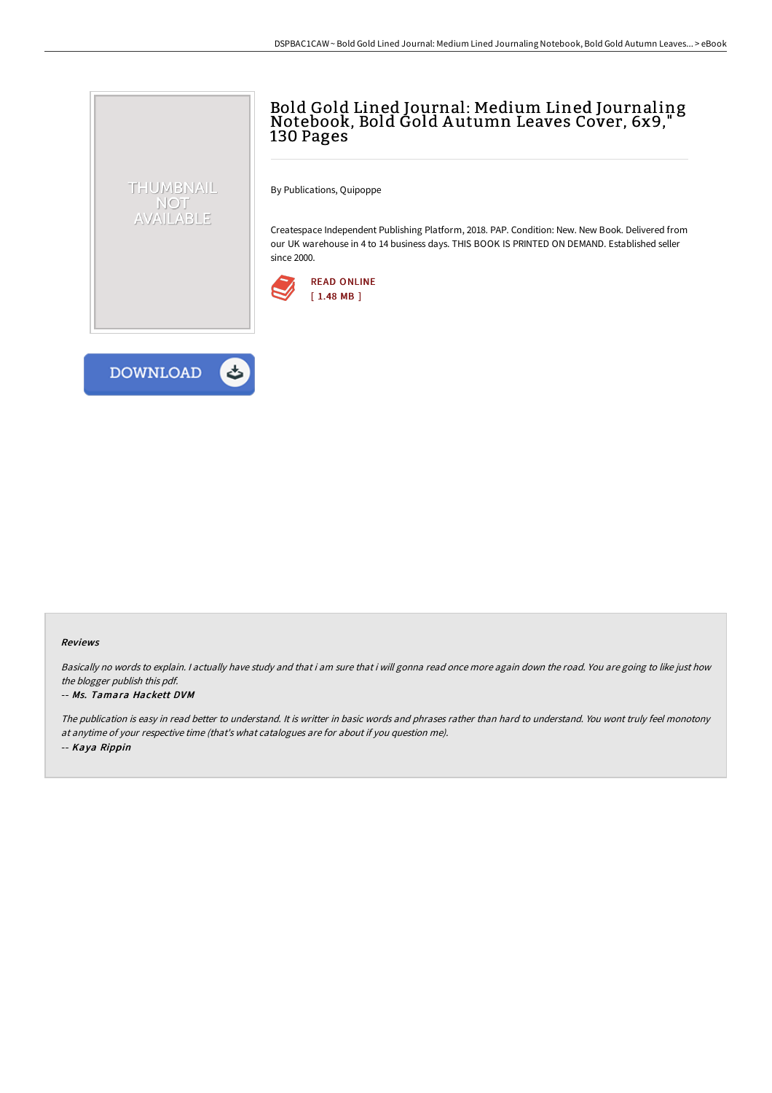## Bold Gold Lined Journal: Medium Lined Journaling Notebook, Bold Gold <sup>A</sup> utumn Leaves Cover, 6x9," 130 Pages

By Publications, Quipoppe

Createspace Independent Publishing Platform, 2018. PAP. Condition: New. New Book. Delivered from our UK warehouse in 4 to 14 business days. THIS BOOK IS PRINTED ON DEMAND. Established seller since 2000.





THUMBNAIL NOT AVAILABLE

## Reviews

Basically no words to explain. I actually have study and that i am sure that i will gonna read once more again down the road. You are going to like just how the blogger publish this pdf.

## -- Ms. Tamara Hackett DVM

The publication is easy in read better to understand. It is writter in basic words and phrases rather than hard to understand. You wont truly feel monotony at anytime of your respective time (that's what catalogues are for about if you question me). -- Kaya Rippin